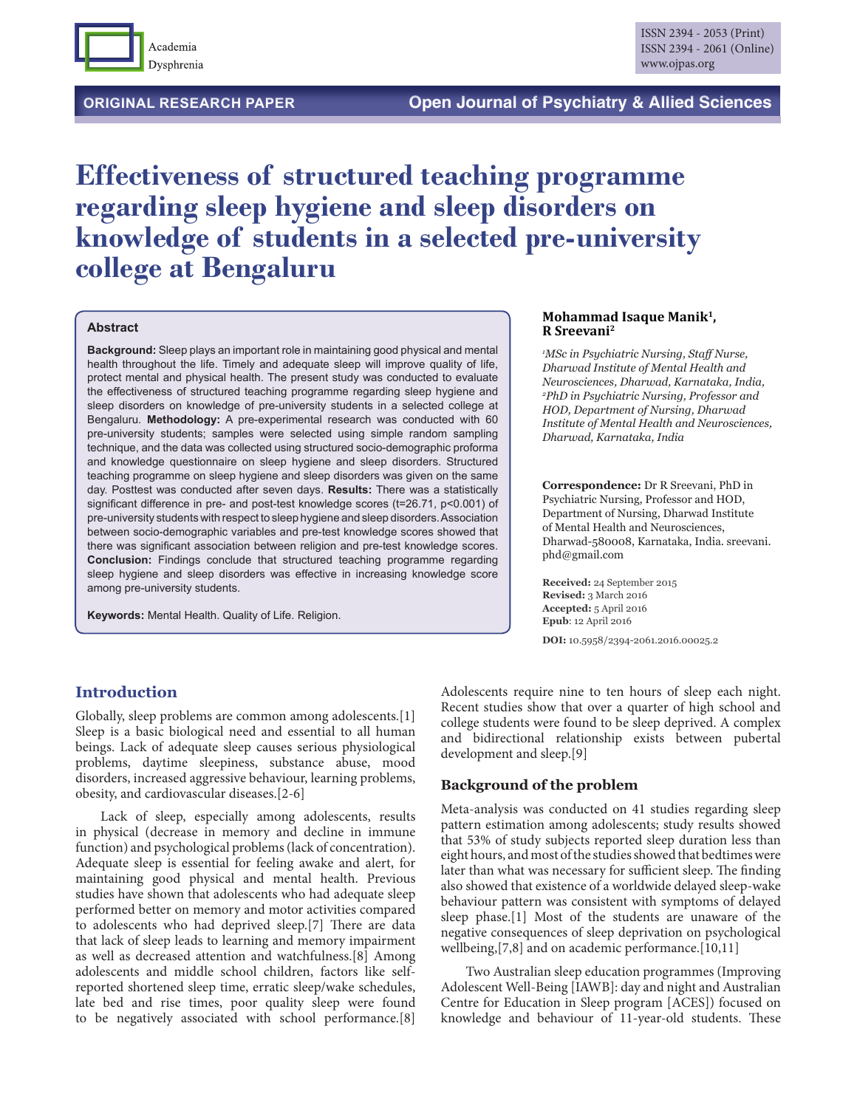

# **Effectiveness of structured teaching programme regarding sleep hygiene and sleep disorders on knowledge of students in a selected pre-university college at Bengaluru**

#### **Abstract**

**Background:** Sleep plays an important role in maintaining good physical and mental health throughout the life. Timely and adequate sleep will improve quality of life, protect mental and physical health. The present study was conducted to evaluate the effectiveness of structured teaching programme regarding sleep hygiene and sleep disorders on knowledge of pre-university students in a selected college at Bengaluru. **Methodology:** A pre-experimental research was conducted with 60 pre-university students; samples were selected using simple random sampling technique, and the data was collected using structured socio-demographic proforma and knowledge questionnaire on sleep hygiene and sleep disorders. Structured teaching programme on sleep hygiene and sleep disorders was given on the same day. Posttest was conducted after seven days. **Results:** There was a statistically significant difference in pre- and post-test knowledge scores (t=26.71, p<0.001) of pre-university students with respect to sleep hygiene and sleep disorders. Association between socio-demographic variables and pre-test knowledge scores showed that there was significant association between religion and pre-test knowledge scores. **Conclusion:** Findings conclude that structured teaching programme regarding sleep hygiene and sleep disorders was effective in increasing knowledge score among pre-university students.

**Keywords:** Mental Health. Quality of Life. Religion.

# **Mohammad Isaque Manik1, R Sreevani2**

*1 MSc in Psychiatric Nursing, Staff Nurse, Dharwad Institute of Mental Health and Neurosciences, Dharwad, Karnataka, India, 2 PhD in Psychiatric Nursing, Professor and HOD, Department of Nursing, Dharwad Institute of Mental Health and Neurosciences, Dharwad, Karnataka, India*

**Correspondence:** Dr R Sreevani, PhD in Psychiatric Nursing, Professor and HOD, Department of Nursing, Dharwad Institute of Mental Health and Neurosciences, Dharwad-580008, Karnataka, India. sreevani. phd@gmail.com

**Received:** 24 September 2015 **Revised:** 3 March 2016 **Accepted:** 5 April 2016 **Epub**: 12 April 2016

**DOI:** 10.5958/2394-2061.2016.00025.2

## **Introduction**

Globally, sleep problems are common among adolescents.[1] Sleep is a basic biological need and essential to all human beings. Lack of adequate sleep causes serious physiological problems, daytime sleepiness, substance abuse, mood disorders, increased aggressive behaviour, learning problems, obesity, and cardiovascular diseases.[2-6]

Lack of sleep, especially among adolescents, results in physical (decrease in memory and decline in immune function) and psychological problems (lack of concentration). Adequate sleep is essential for feeling awake and alert, for maintaining good physical and mental health. Previous studies have shown that adolescents who had adequate sleep performed better on memory and motor activities compared to adolescents who had deprived sleep.[7] There are data that lack of sleep leads to learning and memory impairment as well as decreased attention and watchfulness.[8] Among adolescents and middle school children, factors like selfreported shortened sleep time, erratic sleep/wake schedules, late bed and rise times, poor quality sleep were found to be negatively associated with school performance.[8]

Adolescents require nine to ten hours of sleep each night. Recent studies show that over a quarter of high school and college students were found to be sleep deprived. A complex and bidirectional relationship exists between pubertal development and sleep.[9]

#### **Background of the problem**

Meta-analysis was conducted on 41 studies regarding sleep pattern estimation among adolescents; study results showed that 53% of study subjects reported sleep duration less than eight hours, and most of the studies showed that bedtimes were later than what was necessary for sufficient sleep. The finding also showed that existence of a worldwide delayed sleep-wake behaviour pattern was consistent with symptoms of delayed sleep phase.[1] Most of the students are unaware of the negative consequences of sleep deprivation on psychological wellbeing, [7,8] and on academic performance. [10,11]

Two Australian sleep education programmes (Improving Adolescent Well-Being [IAWB]: day and night and Australian Centre for Education in Sleep program [ACES]) focused on knowledge and behaviour of 11-year-old students. These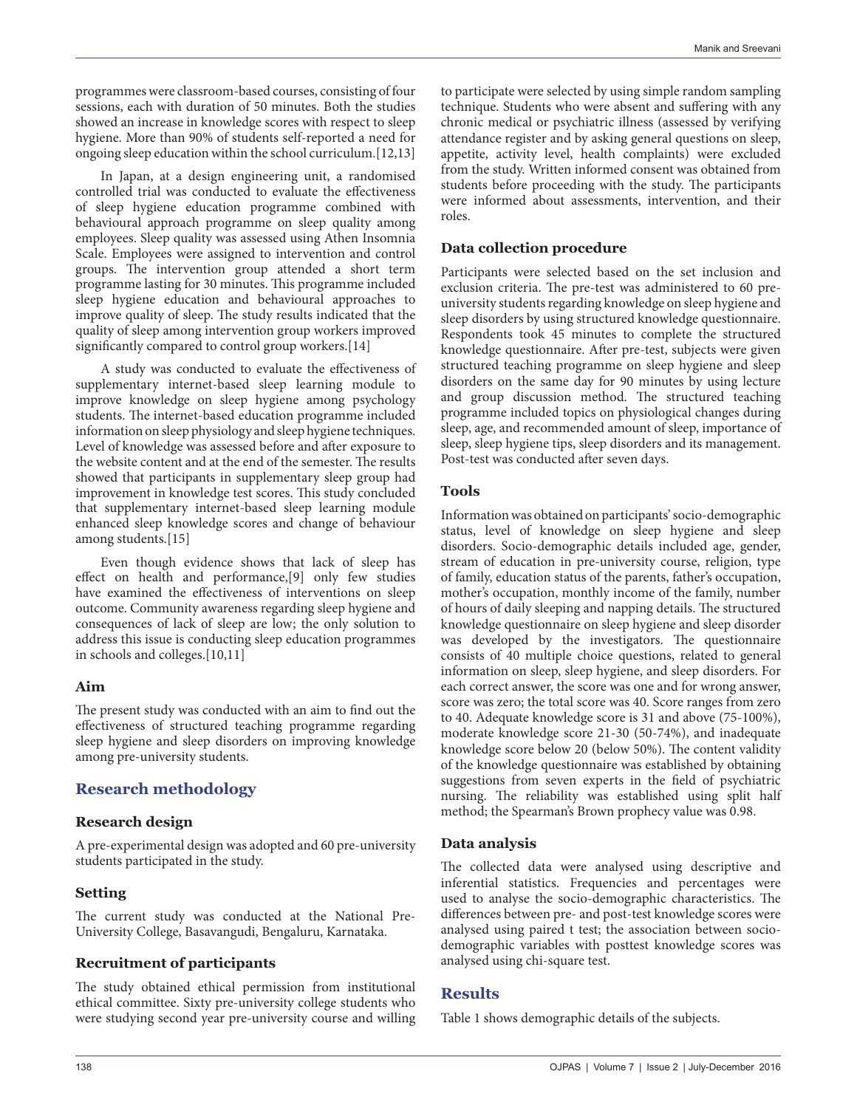programmes were classroom-based courses, consisting of four sessions, each with duration of 50 minutes. Both the studies showed an increase in knowledge scores with respect to sleep hygiene. More than 90% of students self-reported a need for ongoing sleep education within the school curriculum.[12,13]

In Japan, at a design engineering unit, a randomised controlled trial was conducted to evaluate the effectiveness of sleep hygiene education programme combined with behavioural approach programme on sleep quality among employees. Sleep quality was assessed using Athen Insomnia Scale. Employees were assigned to intervention and control groups. The intervention group attended a short term programme lasting for 30 minutes. This programme included sleep hygiene education and behavioural approaches to improve quality of sleep. The study results indicated that the quality of sleep among intervention group workers improved significantly compared to control group workers.[14]

A study was conducted to evaluate the effectiveness of supplementary internet-based sleep learning module to improve knowledge on sleep hygiene among psychology students. The internet-based education programme included information on sleep physiology and sleep hygiene techniques. Level of knowledge was assessed before and after exposure to the website content and at the end of the semester. The results showed that participants in supplementary sleep group had improvement in knowledge test scores. This study concluded that supplementary internet-based sleep learning module enhanced sleep knowledge scores and change of behaviour among students.[15]

Even though evidence shows that lack of sleep has effect on health and performance,[9] only few studies have examined the effectiveness of interventions on sleep outcome. Community awareness regarding sleep hygiene and consequences of lack of sleep are low; the only solution to address this issue is conducting sleep education programmes in schools and colleges.[10,11]

#### **Aim**

The present study was conducted with an aim to find out the effectiveness of structured teaching programme regarding sleep hygiene and sleep disorders on improving knowledge among pre-university students.

# **Research methodology**

## **Research design**

A pre-experimental design was adopted and 60 pre-university students participated in the study.

## **Setting**

The current study was conducted at the National Pre-University College, Basavangudi, Bengaluru, Karnataka.

## **Recruitment of participants**

The study obtained ethical permission from institutional ethical committee. Sixty pre-university college students who were studying second year pre-university course and willing to participate were selected by using simple random sampling technique. Students who were absent and suffering with any chronic medical or psychiatric illness (assessed by verifying attendance register and by asking general questions on sleep, appetite, activity level, health complaints) were excluded from the study. Written informed consent was obtained from students before proceeding with the study. The participants were informed about assessments, intervention, and their roles.

#### **Data collection procedure**

Participants were selected based on the set inclusion and exclusion criteria. The pre-test was administered to 60 preuniversity students regarding knowledge on sleep hygiene and sleep disorders by using structured knowledge questionnaire. Respondents took 45 minutes to complete the structured knowledge questionnaire. After pre-test, subjects were given structured teaching programme on sleep hygiene and sleep disorders on the same day for 90 minutes by using lecture and group discussion method. The structured teaching programme included topics on physiological changes during sleep, age, and recommended amount of sleep, importance of sleep, sleep hygiene tips, sleep disorders and its management. Post-test was conducted after seven days.

#### **Tools**

Information was obtained on participants' socio-demographic status, level of knowledge on sleep hygiene and sleep disorders. Socio-demographic details included age, gender, stream of education in pre-university course, religion, type of family, education status of the parents, father's occupation, mother's occupation, monthly income of the family, number of hours of daily sleeping and napping details. The structured knowledge questionnaire on sleep hygiene and sleep disorder was developed by the investigators. The questionnaire consists of 40 multiple choice questions, related to general information on sleep, sleep hygiene, and sleep disorders. For each correct answer, the score was one and for wrong answer, score was zero; the total score was 40. Score ranges from zero to 40. Adequate knowledge score is 31 and above (75-100%), moderate knowledge score 21-30 (50-74%), and inadequate knowledge score below 20 (below 50%). The content validity of the knowledge questionnaire was established by obtaining suggestions from seven experts in the field of psychiatric nursing. The reliability was established using split half method; the Spearman's Brown prophecy value was 0.98.

## **Data analysis**

The collected data were analysed using descriptive and inferential statistics. Frequencies and percentages were used to analyse the socio-demographic characteristics. The differences between pre- and post-test knowledge scores were analysed using paired t test; the association between sociodemographic variables with posttest knowledge scores was analysed using chi-square test.

## **Results**

Table 1 shows demographic details of the subjects.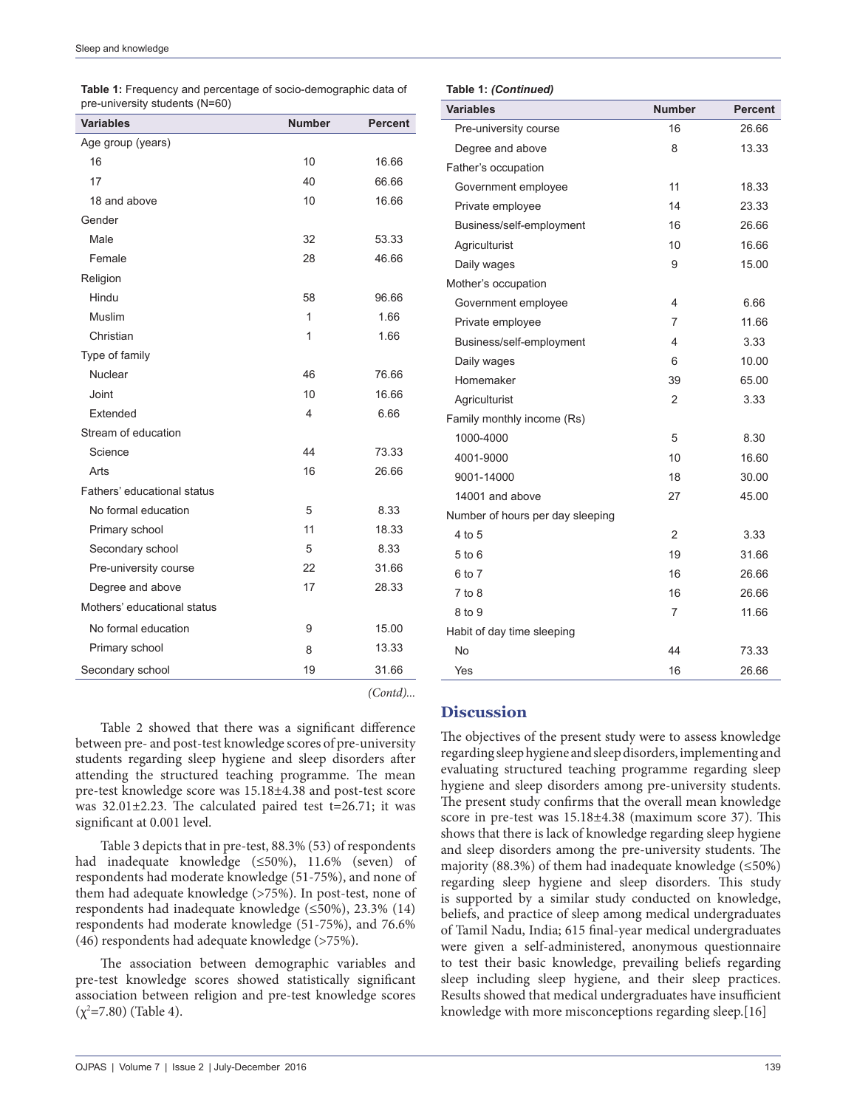Religion

Type of family

Stream of education

Fathers' educational status

Mothers' educational status

| <b>Table 1:</b> Frequency and percentage of socio-demographic data of<br>pre-university students (N=60) |               |                |  |
|---------------------------------------------------------------------------------------------------------|---------------|----------------|--|
| <b>Variables</b>                                                                                        | <b>Number</b> | <b>Percent</b> |  |
| Age group (years)                                                                                       |               |                |  |
| 16                                                                                                      | 10            | 16.66          |  |
| 17                                                                                                      | 40            | 66.66          |  |
| 18 and above                                                                                            | 10            | 16.66          |  |
| Gender                                                                                                  |               |                |  |
| Male                                                                                                    | 32            | 53.33          |  |

Female 28 46.66

Hindu 58 96.66 Muslim 1 1.66 Christian 1.66

Nuclear 46 76.66 Joint 10 16.66 Extended 6.66

Science 23.33 Arts 26.66

No formal education 6 8.33 Primary school 11 18.33 Secondary school 5 8.33 Pre-university course 22 31.66 Degree and above 17 28.33

No formal education and the set of the set of the set of the set of the set of the set of the set of the set o Primary school 8 13.33 Secondary school 19 31.66

**Table 1:** Frequency and percentage of socio-demographic data of

## **Table 1:** *(Continued)*

| rapie I. (Communed)              |               |                |
|----------------------------------|---------------|----------------|
| <b>Variables</b>                 | <b>Number</b> | <b>Percent</b> |
| Pre-university course            | 16            | 26.66          |
| Degree and above                 | 8             | 13.33          |
| Father's occupation              |               |                |
| Government employee              | 11            | 18.33          |
| Private employee                 | 14            | 23.33          |
| Business/self-employment         | 16            | 26.66          |
| Agriculturist                    | 10            | 16.66          |
| Daily wages                      | 9             | 15.00          |
| Mother's occupation              |               |                |
| Government employee              | 4             | 6.66           |
| Private employee                 | 7             | 11.66          |
| Business/self-employment         | 4             | 3.33           |
| Daily wages                      | 6             | 10.00          |
| Homemaker                        | 39            | 65.00          |
| Agriculturist                    | 2             | 3.33           |
| Family monthly income (Rs)       |               |                |
| 1000-4000                        | 5             | 8.30           |
| 4001-9000                        | 10            | 16.60          |
| 9001-14000                       | 18            | 30.00          |
| 14001 and above                  | 27            | 45.00          |
| Number of hours per day sleeping |               |                |
| 4 to 5                           | 2             | 3.33           |
| 5 to 6                           | 19            | 31.66          |
| 6 to 7                           | 16            | 26.66          |
| $7$ to $8$                       | 16            | 26.66          |
| 8 to 9                           | 7             | 11.66          |
| Habit of day time sleeping       |               |                |
| No                               | 44            | 73.33          |
| Yes                              | 16            | 26.66          |

*(Contd)...*

Table 2 showed that there was a significant difference between pre- and post-test knowledge scores of pre-university students regarding sleep hygiene and sleep disorders after attending the structured teaching programme. The mean pre-test knowledge score was 15.18±4.38 and post-test score was 32.01±2.23. The calculated paired test t=26.71; it was significant at 0.001 level.

Table 3 depicts that in pre-test, 88.3% (53) of respondents had inadequate knowledge (≤50%), 11.6% (seven) of respondents had moderate knowledge (51-75%), and none of them had adequate knowledge (>75%). In post-test, none of respondents had inadequate knowledge (≤50%), 23.3% (14) respondents had moderate knowledge (51-75%), and 76.6% (46) respondents had adequate knowledge (>75%).

The association between demographic variables and pre-test knowledge scores showed statistically significant association between religion and pre-test knowledge scores (χ2 **=**7.80) (Table 4).

# **Discussion**

The objectives of the present study were to assess knowledge regarding sleep hygiene and sleep disorders, implementing and evaluating structured teaching programme regarding sleep hygiene and sleep disorders among pre-university students. The present study confirms that the overall mean knowledge score in pre-test was 15.18±4.38 (maximum score 37). This shows that there is lack of knowledge regarding sleep hygiene and sleep disorders among the pre-university students. The majority (88.3%) of them had inadequate knowledge ( $\leq 50\%$ ) regarding sleep hygiene and sleep disorders. This study is supported by a similar study conducted on knowledge, beliefs, and practice of sleep among medical undergraduates of Tamil Nadu, India; 615 final-year medical undergraduates were given a self-administered, anonymous questionnaire to test their basic knowledge, prevailing beliefs regarding sleep including sleep hygiene, and their sleep practices. Results showed that medical undergraduates have insufficient knowledge with more misconceptions regarding sleep.[16]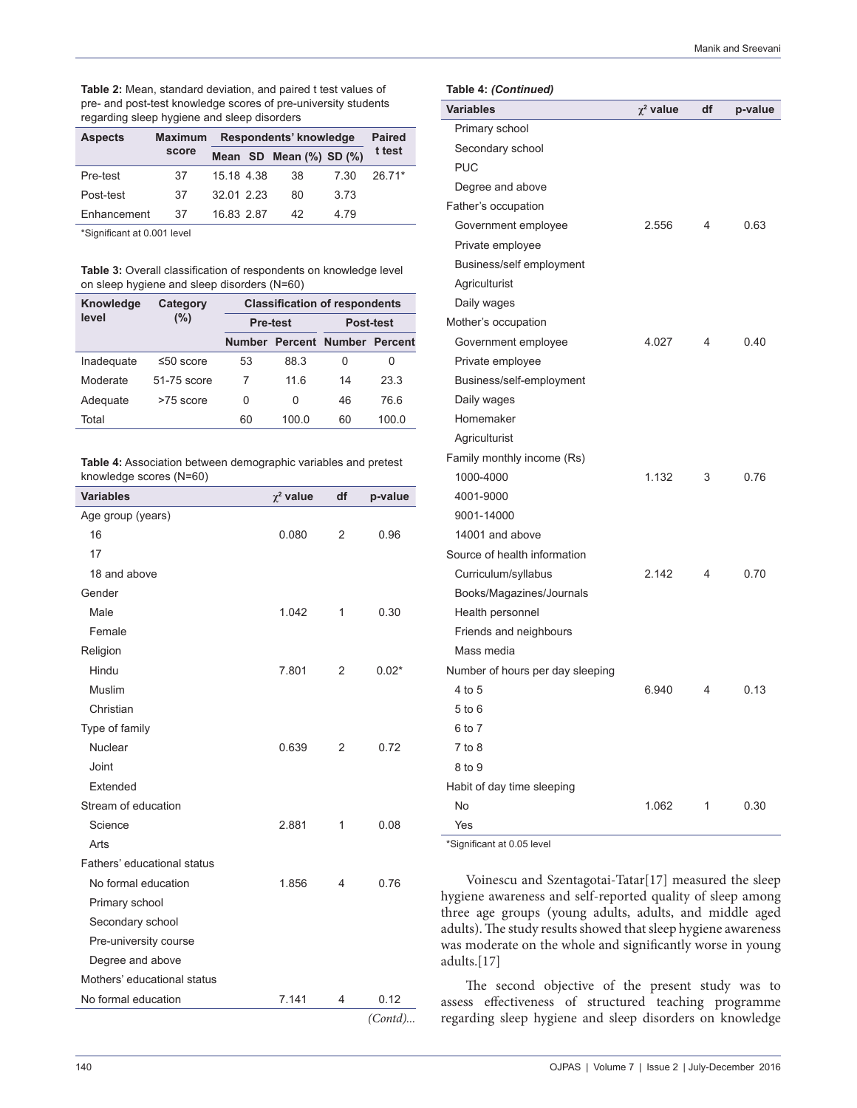| Table 2: Mean, standard deviation, and paired t test values of |
|----------------------------------------------------------------|
| pre- and post-test knowledge scores of pre-university students |
| regarding sleep hygiene and sleep disorders                    |

| <b>Aspects</b> | Respondents' knowledge<br><b>Maximum</b> |            |  | <b>Paired</b>           |       |        |
|----------------|------------------------------------------|------------|--|-------------------------|-------|--------|
|                | score                                    |            |  | Mean SD Mean (%) SD (%) |       | t test |
| Pre-test       | 37                                       | 15 18 4 38 |  | 38                      | 7 30  | 26 71* |
| Post-test      | 37                                       | 32 01 2 23 |  | 80                      | 3.73  |        |
| Enhancement    | 37                                       | 16 83 2 87 |  | 42                      | 4 7 9 |        |

\*Significant at 0.001 level

**Table 3:** Overall classification of respondents on knowledge level on sleep hygiene and sleep disorders (N=60)

| Knowledge  | Category        | <b>Classification of respondents</b> |       |                               |       |  |
|------------|-----------------|--------------------------------------|-------|-------------------------------|-------|--|
| level      | (%)             | <b>Pre-test</b>                      |       | Post-test                     |       |  |
|            |                 | <b>Number</b>                        |       | <b>Percent Number Percent</b> |       |  |
| Inadequate | $\leq 50$ score | 53                                   | 88.3  | 0                             | Ω     |  |
| Moderate   | 51-75 score     |                                      | 11 6  | 14                            | 23.3  |  |
| Adequate   | $>75$ score     | 0                                    | 0     | 46                            | 766   |  |
| Total      |                 | 60                                   | 100.0 | 60                            | 100.0 |  |

**Table 4:** Association between demographic variables and pretest knowledge scores (N=60)

| <b>Variables</b>            | $\chi^2$ value | df             | p-value  |
|-----------------------------|----------------|----------------|----------|
| Age group (years)           |                |                |          |
| 16                          | 0.080          | $\overline{2}$ | 0.96     |
| 17                          |                |                |          |
| 18 and above                |                |                |          |
| Gender                      |                |                |          |
| Male                        | 1.042          | 1              | 0.30     |
| Female                      |                |                |          |
| Religion                    |                |                |          |
| Hindu                       | 7.801          | 2              | $0.02*$  |
| Muslim                      |                |                |          |
| Christian                   |                |                |          |
| Type of family              |                |                |          |
| Nuclear                     | 0.639          | $\overline{2}$ | 0.72     |
| Joint                       |                |                |          |
| Extended                    |                |                |          |
| Stream of education         |                |                |          |
| Science                     | 2.881          | 1              | 0.08     |
| Arts                        |                |                |          |
| Fathers' educational status |                |                |          |
| No formal education         | 1.856          | 4              | 0.76     |
| Primary school              |                |                |          |
| Secondary school            |                |                |          |
| Pre-university course       |                |                |          |
| Degree and above            |                |                |          |
| Mothers' educational status |                |                |          |
| No formal education         | 7.141          | 4              | 0.12     |
|                             |                |                | (Contd). |

**Table 4:** *(Continued)*

| $i$ avic 4. (Continueu)          |                |    |         |
|----------------------------------|----------------|----|---------|
| <b>Variables</b>                 | $\chi^2$ value | df | p-value |
| Primary school                   |                |    |         |
| Secondary school                 |                |    |         |
| <b>PUC</b>                       |                |    |         |
| Degree and above                 |                |    |         |
| Father's occupation              |                |    |         |
| Government employee              | 2.556          | 4  | 0.63    |
| Private employee                 |                |    |         |
| Business/self employment         |                |    |         |
| Agriculturist                    |                |    |         |
| Daily wages                      |                |    |         |
| Mother's occupation              |                |    |         |
| Government employee              | 4.027          | 4  | 0.40    |
| Private employee                 |                |    |         |
| Business/self-employment         |                |    |         |
| Daily wages                      |                |    |         |
| Homemaker                        |                |    |         |
| Agriculturist                    |                |    |         |
| Family monthly income (Rs)       |                |    |         |
| 1000-4000                        | 1.132          | 3  | 0.76    |
| 4001-9000                        |                |    |         |
| 9001-14000                       |                |    |         |
| 14001 and above                  |                |    |         |
| Source of health information     |                |    |         |
| Curriculum/syllabus              | 2.142          | 4  | 0.70    |
| Books/Magazines/Journals         |                |    |         |
| Health personnel                 |                |    |         |
| Friends and neighbours           |                |    |         |
| Mass media                       |                |    |         |
| Number of hours per day sleeping |                |    |         |
| 4 to 5                           | 6.940          | 4  | 0.13    |
| 5 to 6                           |                |    |         |
| 6 to 7                           |                |    |         |
| 7 to 8                           |                |    |         |
| 8 to 9                           |                |    |         |
| Habit of day time sleeping       |                |    |         |
| No                               | 1.062          | 1  | 0.30    |
| Yes                              |                |    |         |

\*Significant at 0.05 level

Voinescu and Szentagotai-Tatar[17] measured the sleep hygiene awareness and self-reported quality of sleep among three age groups (young adults, adults, and middle aged adults). The study results showed that sleep hygiene awareness was moderate on the whole and significantly worse in young adults.[17]

The second objective of the present study was to assess effectiveness of structured teaching programme regarding sleep hygiene and sleep disorders on knowledge